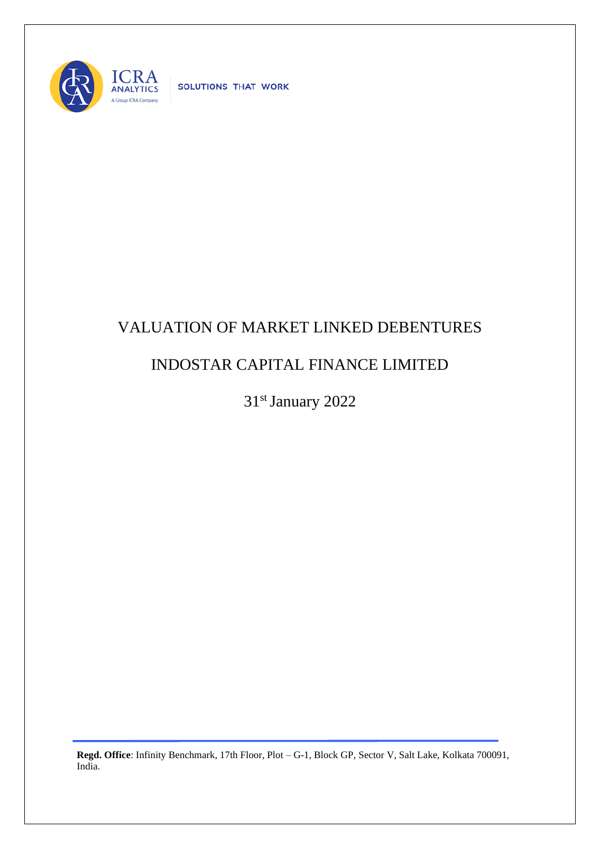

SOLUTIONS THAT WORK

## VALUATION OF MARKET LINKED DEBENTURES

## INDOSTAR CAPITAL FINANCE LIMITED

31st January 2022

**Regd. Office**: Infinity Benchmark, 17th Floor, Plot – G-1, Block GP, Sector V, Salt Lake, Kolkata 700091, India.